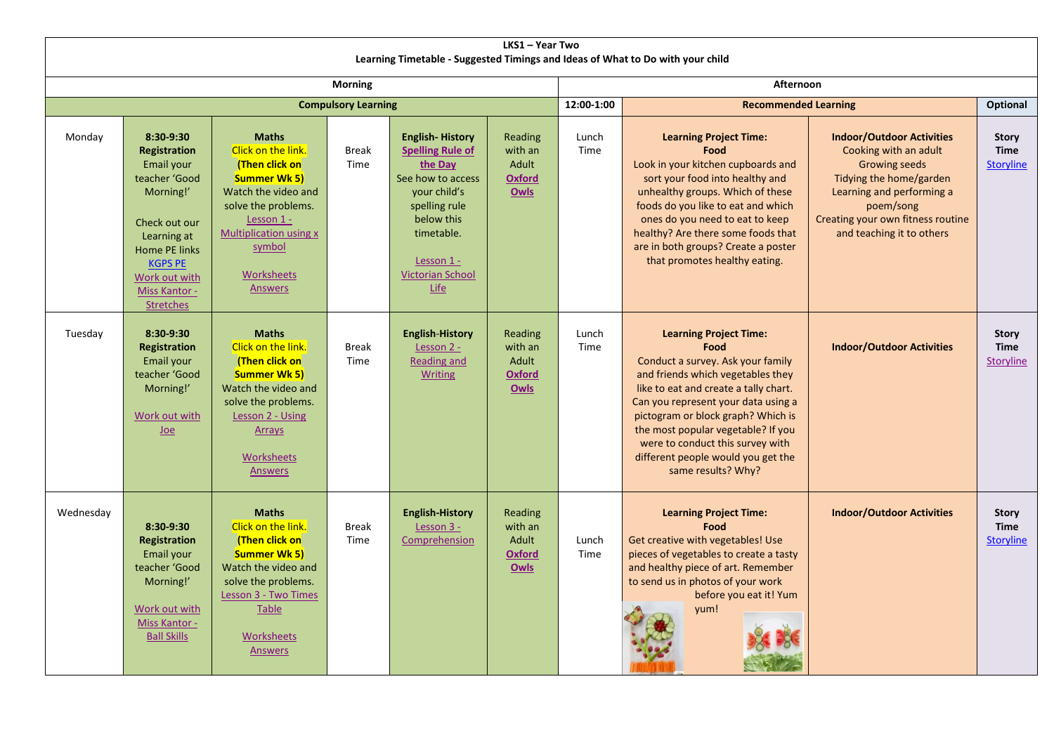| LKS1 - Year Two                                                                |                                                                                                                                                                                                       |                                                                                                                                                                                                             |                      |                                                                                                                                                                                                 |                                                             |               |                                                                                                                                                                                                                                                                                                                                                                             |                                                                                                                                                                                                                          |                                                 |  |  |
|--------------------------------------------------------------------------------|-------------------------------------------------------------------------------------------------------------------------------------------------------------------------------------------------------|-------------------------------------------------------------------------------------------------------------------------------------------------------------------------------------------------------------|----------------------|-------------------------------------------------------------------------------------------------------------------------------------------------------------------------------------------------|-------------------------------------------------------------|---------------|-----------------------------------------------------------------------------------------------------------------------------------------------------------------------------------------------------------------------------------------------------------------------------------------------------------------------------------------------------------------------------|--------------------------------------------------------------------------------------------------------------------------------------------------------------------------------------------------------------------------|-------------------------------------------------|--|--|
| Learning Timetable - Suggested Timings and Ideas of What to Do with your child |                                                                                                                                                                                                       |                                                                                                                                                                                                             |                      |                                                                                                                                                                                                 |                                                             |               |                                                                                                                                                                                                                                                                                                                                                                             |                                                                                                                                                                                                                          |                                                 |  |  |
| <b>Morning</b>                                                                 |                                                                                                                                                                                                       |                                                                                                                                                                                                             |                      |                                                                                                                                                                                                 |                                                             |               | Afternoon                                                                                                                                                                                                                                                                                                                                                                   |                                                                                                                                                                                                                          |                                                 |  |  |
| <b>Compulsory Learning</b>                                                     |                                                                                                                                                                                                       |                                                                                                                                                                                                             |                      |                                                                                                                                                                                                 |                                                             | 12:00-1:00    | <b>Recommended Learning</b>                                                                                                                                                                                                                                                                                                                                                 |                                                                                                                                                                                                                          | <b>Optional</b>                                 |  |  |
| Monday                                                                         | 8:30-9:30<br><b>Registration</b><br>Email your<br>teacher 'Good<br>Morning!'<br>Check out our<br>Learning at<br>Home PE links<br><b>KGPS PE</b><br>Work out with<br>Miss Kantor -<br><b>Stretches</b> | <b>Maths</b><br>Click on the link.<br>(Then click on<br><b>Summer Wk 5)</b><br>Watch the video and<br>solve the problems.<br>Lesson 1 -<br>Multiplication using x<br>symbol<br>Worksheets<br><b>Answers</b> | <b>Break</b><br>Time | <b>English-History</b><br><b>Spelling Rule of</b><br>the Day<br>See how to access<br>vour child's<br>spelling rule<br>below this<br>timetable.<br>Lesson 1 -<br><b>Victorian School</b><br>Life | Reading<br>with an<br>Adult<br><b>Oxford</b><br><b>Owls</b> | Lunch<br>Time | <b>Learning Project Time:</b><br>Food<br>Look in your kitchen cupboards and<br>sort your food into healthy and<br>unhealthy groups. Which of these<br>foods do you like to eat and which<br>ones do you need to eat to keep<br>healthy? Are there some foods that<br>are in both groups? Create a poster<br>that promotes healthy eating.                                   | <b>Indoor/Outdoor Activities</b><br>Cooking with an adult<br><b>Growing seeds</b><br>Tidying the home/garden<br>Learning and performing a<br>poem/song<br>Creating your own fitness routine<br>and teaching it to others | <b>Story</b><br><b>Time</b><br><b>Storyline</b> |  |  |
| Tuesday                                                                        | 8:30-9:30<br><b>Registration</b><br>Email your<br>teacher 'Good<br>Morning!'<br>Work out with<br>$Joe$                                                                                                | <b>Maths</b><br>Click on the link.<br>(Then click on<br><b>Summer Wk 5)</b><br>Watch the video and<br>solve the problems.<br>Lesson 2 - Using<br><b>Arrays</b><br><b>Worksheets</b><br><b>Answers</b>       | <b>Break</b><br>Time | <b>English-History</b><br>Lesson 2 -<br>Reading and<br><b>Writing</b>                                                                                                                           | Reading<br>with an<br>Adult<br><b>Oxford</b><br>Owls        | Lunch<br>Time | <b>Learning Project Time:</b><br>Food<br>Conduct a survey. Ask your family<br>and friends which vegetables they<br>like to eat and create a tally chart.<br>Can you represent your data using a<br>pictogram or block graph? Which is<br>the most popular vegetable? If you<br>were to conduct this survey with<br>different people would you get the<br>same results? Why? | <b>Indoor/Outdoor Activities</b>                                                                                                                                                                                         | <b>Story</b><br><b>Time</b><br><b>Storyline</b> |  |  |
| Wednesday                                                                      | 8:30-9:30<br><b>Registration</b><br>Email your<br>teacher 'Good<br>Morning!'<br>Work out with<br>Miss Kantor -<br><b>Ball Skills</b>                                                                  | <b>Maths</b><br>Click on the link.<br>(Then click on<br><b>Summer Wk 5)</b><br>Watch the video and<br>solve the problems.<br>Lesson 3 - Two Times<br><b>Table</b><br><b>Worksheets</b><br><b>Answers</b>    | Break<br>Time        | <b>English-History</b><br>Lesson 3 -<br>Comprehension                                                                                                                                           | Reading<br>with an<br>Adult<br><b>Oxford</b><br>Owls        | Lunch<br>Time | <b>Learning Project Time:</b><br>Food<br>Get creative with vegetables! Use<br>pieces of vegetables to create a tasty<br>and healthy piece of art. Remember<br>to send us in photos of your work<br>before you eat it! Yum<br>yum!                                                                                                                                           | <b>Indoor/Outdoor Activities</b>                                                                                                                                                                                         | <b>Story</b><br><b>Time</b><br><b>Storyline</b> |  |  |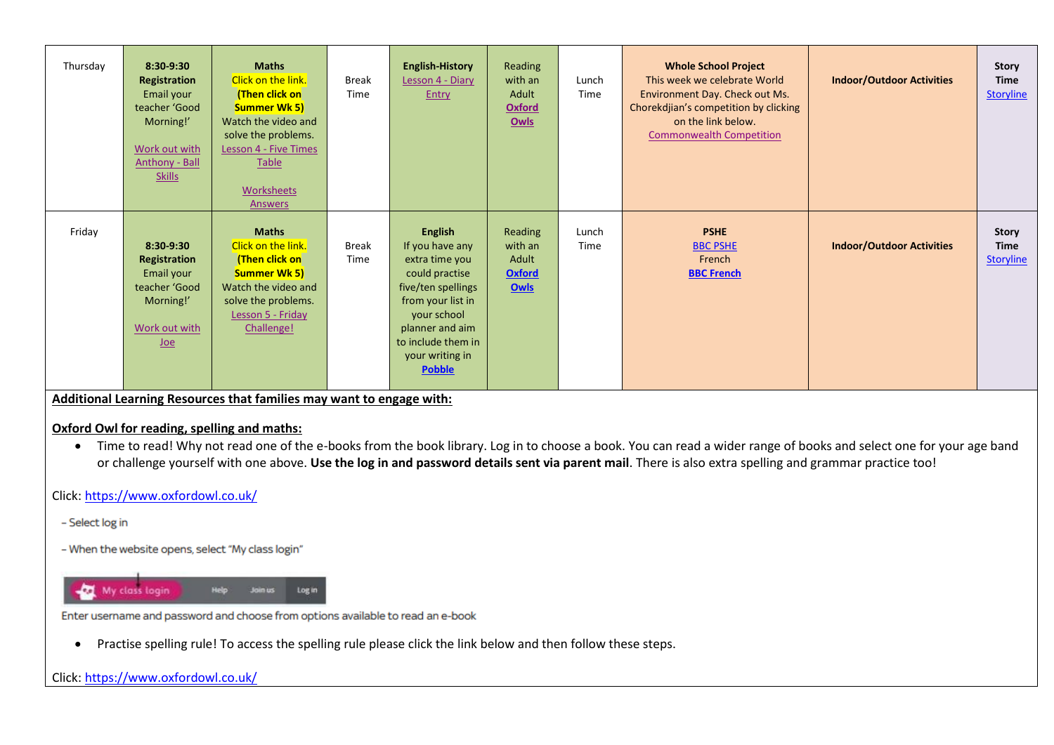| Thursday | $8:30-9:30$<br>Registration<br>Email your<br>teacher 'Good<br>Morning!'<br>Work out with<br><b>Anthony - Ball</b><br><b>Skills</b> | <b>Maths</b><br>Click on the link.<br>(Then click on<br><b>Summer Wk 5)</b><br>Watch the video and<br>solve the problems.<br>Lesson 4 - Five Times<br>Table<br>Worksheets<br><b>Answers</b> | <b>Break</b><br>Time | <b>English-History</b><br>Lesson 4 - Diary<br>Entry                                                                                                                                                          | Reading<br>with an<br>Adult<br><b>Oxford</b><br>Owls        | Lunch<br>Time | <b>Whole School Project</b><br>This week we celebrate World<br>Environment Day. Check out Ms.<br>Chorekdjian's competition by clicking<br>on the link below.<br><b>Commonwealth Competition</b> | <b>Indoor/Outdoor Activities</b> | Story<br><b>Time</b><br><b>Storyline</b>        |
|----------|------------------------------------------------------------------------------------------------------------------------------------|---------------------------------------------------------------------------------------------------------------------------------------------------------------------------------------------|----------------------|--------------------------------------------------------------------------------------------------------------------------------------------------------------------------------------------------------------|-------------------------------------------------------------|---------------|-------------------------------------------------------------------------------------------------------------------------------------------------------------------------------------------------|----------------------------------|-------------------------------------------------|
| Friday   | $8:30-9:30$<br>Registration<br>Email your<br>teacher 'Good<br>Morning!'<br>Work out with<br><b>Joe</b>                             | <b>Maths</b><br>Click on the link.<br>(Then click on<br><b>Summer Wk 5)</b><br>Watch the video and<br>solve the problems.<br>Lesson 5 - Friday<br>Challenge!                                | <b>Break</b><br>Time | <b>English</b><br>If you have any<br>extra time you<br>could practise<br>five/ten spellings<br>from your list in<br>your school<br>planner and aim<br>to include them in<br>your writing in<br><b>Pobble</b> | Reading<br>with an<br>Adult<br><b>Oxford</b><br><b>Owls</b> | Lunch<br>Time | <b>PSHE</b><br><b>BBC PSHE</b><br>French<br><b>BBC French</b>                                                                                                                                   | <b>Indoor/Outdoor Activities</b> | <b>Story</b><br><b>Time</b><br><b>Storyline</b> |

**Additional Learning Resources that families may want to engage with:**

#### **Oxford Owl for reading, spelling and maths:**

• Time to read! Why not read one of the e-books from the book library. Log in to choose a book. You can read a wider range of books and select one for your age band or challenge yourself with one above. **Use the log in and password details sent via parent mail**. There is also extra spelling and grammar practice too!

Click[: https://www.oxfordowl.co.uk/](https://www.oxfordowl.co.uk/)

- Select log in
- When the website opens, select "My class login"



Enter username and password and choose from options available to read an e-book

Practise spelling rule! To access the spelling rule please click the link below and then follow these steps.

### Click[: https://www.oxfordowl.co.uk/](https://www.oxfordowl.co.uk/)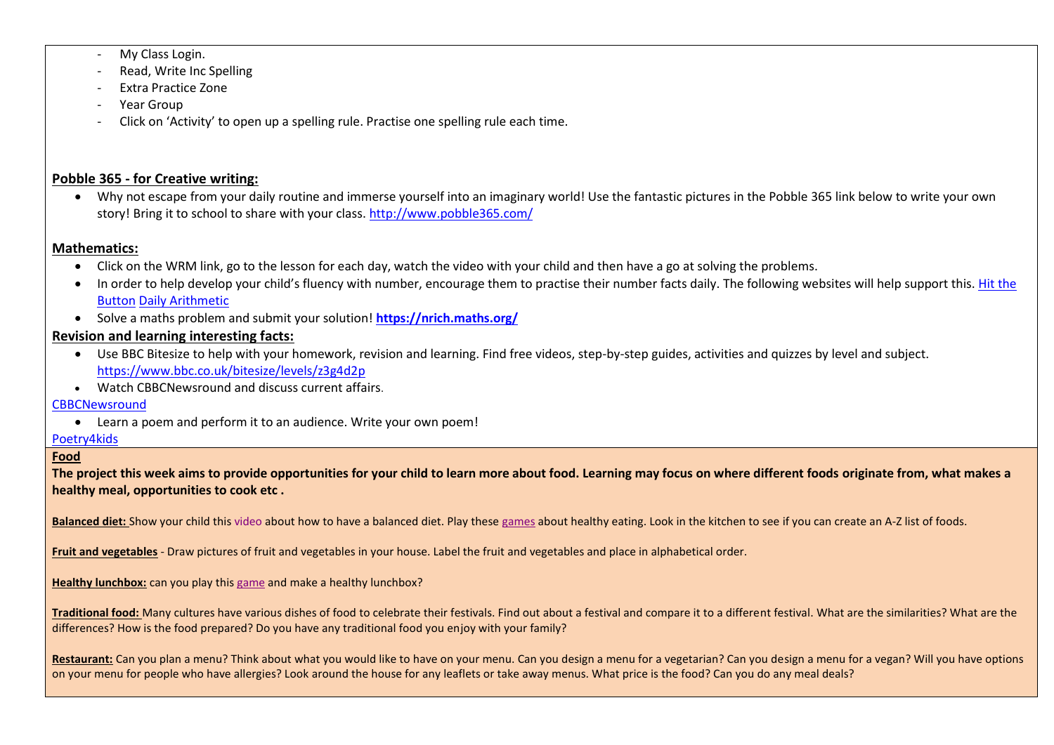- My Class Login.
- Read, Write Inc Spelling
- Extra Practice Zone
- Year Group
- Click on 'Activity' to open up a spelling rule. Practise one spelling rule each time.

## **Pobble 365 - for Creative writing:**

 Why not escape from your daily routine and immerse yourself into an imaginary world! Use the fantastic pictures in the Pobble 365 link below to write your own story! Bring it to school to share with your class. <http://www.pobble365.com/>

### **Mathematics:**

- Click on the WRM link, go to the lesson for each day, watch the video with your child and then have a go at solving the problems.
- In order to help develop your child's fluency with number, encourage them to practise their number facts daily. The following websites will help support this. Hit the [Button](https://www.topmarks.co.uk/maths-games/hit-the-button) [Daily Arithmetic](https://www.topmarks.co.uk/maths-games/daily10)
- Solve a maths problem and submit your solution! **<https://nrich.maths.org/>**

# **Revision and learning interesting facts:**

- Use BBC Bitesize to help with your homework, revision and learning. Find free videos, step-by-step guides, activities and quizzes by level and subject. <https://www.bbc.co.uk/bitesize/levels/z3g4d2p>
- Watch CBBCNewsround and discuss current affairs.

### **[CBBCNewsround](https://www.bbc.co.uk/newsround)**

Learn a poem and perform it to an audience. Write your own poem!

### [Poetry4kids](https://www.poetry4kids.com/)

### **Food**

**The project this week aims to provide opportunities for your child to learn more about food. Learning may focus on where different foods originate from, what makes a healthy meal, opportunities to cook etc .**

Balanced diet: Show your child this [video](https://www.bbc.co.uk/bitesize/topics/zv4cwmn/resources/1) about how to have a balanced diet. Play these [games](http://resources.hwb.wales.gov.uk/VTC/healthy_eating/eng/Introduction/default.htm) about healthy eating. Look in the kitchen to see if you can create an A-Z list of foods.

**Fruit and vegetables** - Draw pictures of fruit and vegetables in your house. Label the fruit and vegetables and place in alphabetical order.

**Healthy lunchbox:** can you play thi[s game](http://archive.foodafactoflife.org.uk/Activity.aspx?siteId=14§ionId=61&contentId=56) and make a healthy lunchbox?

**Traditional food:** Many cultures have various dishes of food to celebrate their festivals. Find out about a festival and compare it to a different festival. What are the similarities? What are the differences? How is the food prepared? Do you have any traditional food you enjoy with your family?

Restaurant: Can you plan a menu? Think about what you would like to have on your menu. Can you design a menu for a menu for a menu for a vegan? Will you have options on your menu for people who have allergies? Look around the house for any leaflets or take away menus. What price is the food? Can you do any meal deals?